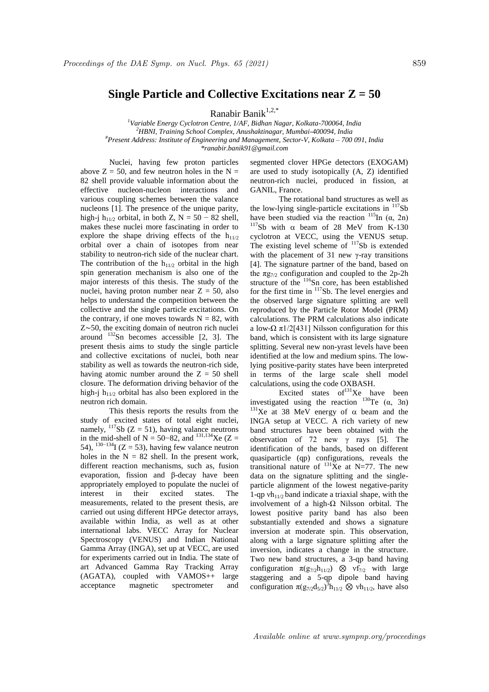## **Single Particle and Collective Excitations near Z = 50**

Ranabir Banik<sup>1,2,\*</sup>

*<sup>1</sup>Variable Energy Cyclotron Centre, 1/AF, Bidhan Nagar, Kolkata-700064, India <sup>2</sup>HBNI, Training School Complex, Anushaktinagar, Mumbai-400094, India #Present Address: Institute of Engineering and Management, Sector-V, Kolkata – 700 091, India \*ranabir.banik91@gmail.com*

Nuclei, having few proton particles above  $Z = 50$ , and few neutron holes in the N = 82 shell provide valuable information about the effective nucleon-nucleon interactions and various coupling schemes between the valance nucleons [1]. The presence of the unique parity, high-j h<sub>11/2</sub> orbital, in both Z, N = 50 – 82 shell, makes these nuclei more fascinating in order to explore the shape driving effects of the  $h_{11/2}$ orbital over a chain of isotopes from near stability to neutron-rich side of the nuclear chart. The contribution of the  $h_{11/2}$  orbital in the high spin generation mechanism is also one of the major interests of this thesis. The study of the nuclei, having proton number near  $Z = 50$ , also helps to understand the competition between the collective and the single particle excitations. On the contrary, if one moves towards  $N = 82$ , with Z∼50, the exciting domain of neutron rich nuclei around  $132$ Sn becomes accessible [2, 3]. The present thesis aims to study the single particle and collective excitations of nuclei, both near stability as well as towards the neutron-rich side, having atomic number around the  $Z = 50$  shell closure. The deformation driving behavior of the high-i  $h_{11/2}$  orbital has also been explored in the neutron rich domain.

This thesis reports the results from the study of excited states of total eight nuclei, namely,  $117$ Sb (Z = 51), having valance neutrons in the mid-shell of N = 50–82, and <sup>131,134</sup>Xe (Z = 54),  $130-134$  (Z = 53), having few valance neutron holes in the  $N = 82$  shell. In the present work, different reaction mechanisms, such as, fusion evaporation, fission and β-decay have been appropriately employed to populate the nuclei of interest in their excited states. The measurements, related to the present thesis, are carried out using different HPGe detector arrays, available within India, as well as at other international labs. VECC Array for Nuclear Spectroscopy (VENUS) and Indian National Gamma Array (INGA), set up at VECC, are used for experiments carried out in India. The state of art Advanced Gamma Ray Tracking Array  $(AGATA)$ , coupled with VAMOS++ large acceptance magnetic spectrometer and

segmented clover HPGe detectors (EXOGAM) are used to study isotopically (A, Z) identified neutron-rich nuclei, produced in fission, at GANIL, France.

The rotational band structures as well as the low-lying single-particle excitations in  $117Sb$ have been studied via the reaction  $^{115}$ In ( $\alpha$ , 2n) <sup>117</sup>Sb with  $\alpha$  beam of 28 MeV from K-130 cyclotron at VECC, using the VENUS setup. The existing level scheme of <sup>117</sup>Sb is extended with the placement of 31 new  $\gamma$ -ray transitions [4]. The signature partner of the band, based on the  $\pi g_{7/2}$  configuration and coupled to the 2p-2h structure of the <sup>116</sup>Sn core, has been established for the first time in  $117Sb$ . The level energies and the observed large signature splitting are well reproduced by the Particle Rotor Model (PRM) calculations. The PRM calculations also indicate a low- $\Omega \pi 1/2$ [431] Nilsson configuration for this band, which is consistent with its large signature splitting. Several new non-yrast levels have been identified at the low and medium spins. The lowlying positive-parity states have been interpreted in terms of the large scale shell model calculations, using the code OXBASH.

Excited states  $of<sup>131</sup>Xe$  have been investigated using the reaction  $^{130}$ Te ( $\alpha$ , 3n) <sup>131</sup>Xe at 38 MeV energy of  $\alpha$  beam and the INGA setup at VECC. A rich variety of new band structures have been obtained with the observation of 72 new  $\gamma$  rays [5]. The identification of the bands, based on different quasiparticle (qp) configurations, reveals the transitional nature of  $^{131}$ Xe at N=77. The new data on the signature splitting and the singleparticle alignment of the lowest negative-parity 1-qp  $vh_{11/2}$  band indicate a triaxial shape, with the involvement of a high-Ω Nilsson orbital. The lowest positive parity band has also been substantially extended and shows a signature inversion at moderate spin. This observation, along with a large signature splitting after the inversion, indicates a change in the structure. Two new band structures, a 3-qp band having configuration  $\pi(g_{7/2}h_{11/2})$   $\otimes$  vf<sub>7/2</sub> with large staggering and a 5-qp dipole band having configuration  $\pi(g_{7/2}d_{5/2})^3h_{11/2}$   $\otimes$  vh<sub>11/2</sub>, have also